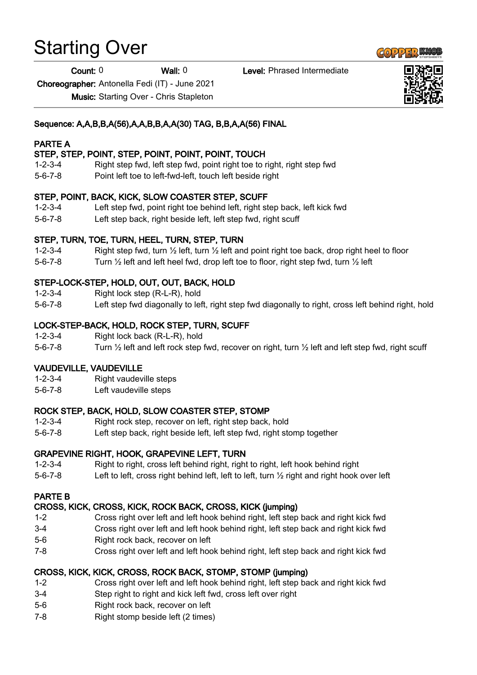# Starting Over

Count: 0 Wall: 0 Level: Phrased Intermediate

Choreographer: Antonella Fedi (IT) - June 2021

Music: Starting Over - Chris Stapleton

# Sequence: A,A,B,B,A(56),A,A,B,B,A,A(30) TAG, B,B,A,A(56) FINAL

# PARTE A

## STEP, STEP, POINT, STEP, POINT, POINT, POINT, TOUCH

- 1-2-3-4 Right step fwd, left step fwd, point right toe to right, right step fwd
- 5-6-7-8 Point left toe to left-fwd-left, touch left beside right

# STEP, POINT, BACK, KICK, SLOW COASTER STEP, SCUFF

- 1-2-3-4 Left step fwd, point right toe behind left, right step back, left kick fwd
- 5-6-7-8 Left step back, right beside left, left step fwd, right scuff

### STEP, TURN, TOE, TURN, HEEL, TURN, STEP, TURN

- 1-2-3-4 Right step fwd, turn  $\frac{1}{2}$  left, turn  $\frac{1}{2}$  left and point right toe back, drop right heel to floor
- 5-6-7-8 Turn ½ left and left heel fwd, drop left toe to floor, right step fwd, turn ½ left

# STEP-LOCK-STEP, HOLD, OUT, OUT, BACK, HOLD

- 1-2-3-4 Right lock step (R-L-R), hold
- 5-6-7-8 Left step fwd diagonally to left, right step fwd diagonally to right, cross left behind right, hold

# LOCK-STEP-BACK, HOLD, ROCK STEP, TURN, SCUFF

- 1-2-3-4 Right lock back (R-L-R), hold
- 5-6-7-8 Turn ½ left and left rock step fwd, recover on right, turn ½ left and left step fwd, right scuff

### VAUDEVILLE, VAUDEVILLE

- 1-2-3-4 Right vaudeville steps
- 5-6-7-8 Left vaudeville steps

### ROCK STEP, BACK, HOLD, SLOW COASTER STEP, STOMP

- 1-2-3-4 Right rock step, recover on left, right step back, hold
- 5-6-7-8 Left step back, right beside left, left step fwd, right stomp together

### GRAPEVINE RIGHT, HOOK, GRAPEVINE LEFT, TURN

- 1-2-3-4 Right to right, cross left behind right, right to right, left hook behind right
- 5-6-7-8 Left to left, cross right behind left, left to left, turn ½ right and right hook over left

#### PARTE B

### CROSS, KICK, CROSS, KICK, ROCK BACK, CROSS, KICK (jumping)

- 1-2 Cross right over left and left hook behind right, left step back and right kick fwd
- 3-4 Cross right over left and left hook behind right, left step back and right kick fwd
- 5-6 Right rock back, recover on left
- 7-8 Cross right over left and left hook behind right, left step back and right kick fwd

### CROSS, KICK, KICK, CROSS, ROCK BACK, STOMP, STOMP (jumping)

- 1-2 Cross right over left and left hook behind right, left step back and right kick fwd
- 3-4 Step right to right and kick left fwd, cross left over right
- 5-6 Right rock back, recover on left
- 7-8 Right stomp beside left (2 times)